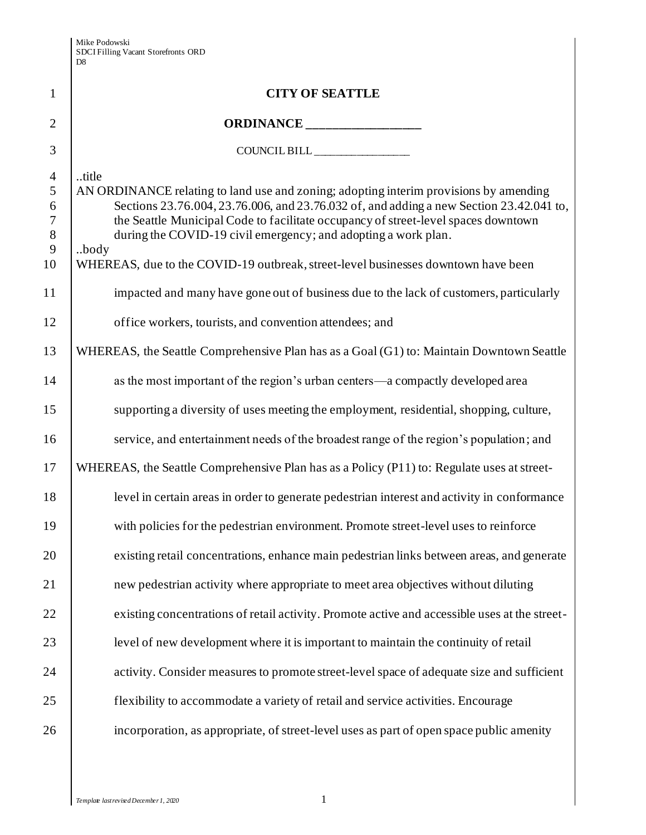|                                                                                 | D <sub>8</sub>                                                                                                                                                                                                                                                                                                                                                                                                                                 |
|---------------------------------------------------------------------------------|------------------------------------------------------------------------------------------------------------------------------------------------------------------------------------------------------------------------------------------------------------------------------------------------------------------------------------------------------------------------------------------------------------------------------------------------|
| $\mathbf{1}$                                                                    | <b>CITY OF SEATTLE</b>                                                                                                                                                                                                                                                                                                                                                                                                                         |
| $\overline{2}$                                                                  |                                                                                                                                                                                                                                                                                                                                                                                                                                                |
| 3                                                                               |                                                                                                                                                                                                                                                                                                                                                                                                                                                |
| $\overline{4}$<br>$\overline{5}$<br>6<br>$\boldsymbol{7}$<br>$\,8\,$<br>9<br>10 | title<br>AN ORDINANCE relating to land use and zoning; adopting interim provisions by amending<br>Sections 23.76.004, 23.76.006, and 23.76.032 of, and adding a new Section 23.42.041 to,<br>the Seattle Municipal Code to facilitate occupancy of street-level spaces downtown<br>during the COVID-19 civil emergency; and adopting a work plan.<br>body<br>WHEREAS, due to the COVID-19 outbreak, street-level businesses downtown have been |
| 11                                                                              | impacted and many have gone out of business due to the lack of customers, particularly                                                                                                                                                                                                                                                                                                                                                         |
| 12                                                                              | office workers, tourists, and convention attendees; and                                                                                                                                                                                                                                                                                                                                                                                        |
| 13                                                                              | WHEREAS, the Seattle Comprehensive Plan has as a Goal (G1) to: Maintain Downtown Seattle                                                                                                                                                                                                                                                                                                                                                       |
| 14                                                                              | as the most important of the region's urban centers—a compactly developed area                                                                                                                                                                                                                                                                                                                                                                 |
| 15                                                                              | supporting a diversity of uses meeting the employment, residential, shopping, culture,                                                                                                                                                                                                                                                                                                                                                         |
| 16                                                                              | service, and entertainment needs of the broadest range of the region's population; and                                                                                                                                                                                                                                                                                                                                                         |
| 17                                                                              | WHEREAS, the Seattle Comprehensive Plan has as a Policy (P11) to: Regulate uses at street-                                                                                                                                                                                                                                                                                                                                                     |
| 18                                                                              | level in certain areas in order to generate pedestrian interest and activity in conformance                                                                                                                                                                                                                                                                                                                                                    |
| 19                                                                              | with policies for the pedestrian environment. Promote street-level uses to reinforce                                                                                                                                                                                                                                                                                                                                                           |
| 20                                                                              | existing retail concentrations, enhance main pedestrian links between areas, and generate                                                                                                                                                                                                                                                                                                                                                      |
| 21                                                                              | new pedestrian activity where appropriate to meet area objectives without diluting                                                                                                                                                                                                                                                                                                                                                             |
| 22                                                                              | existing concentrations of retail activity. Promote active and accessible uses at the street-                                                                                                                                                                                                                                                                                                                                                  |
| 23                                                                              | level of new development where it is important to maintain the continuity of retail                                                                                                                                                                                                                                                                                                                                                            |
| 24                                                                              | activity. Consider measures to promote street-level space of adequate size and sufficient                                                                                                                                                                                                                                                                                                                                                      |
| 25                                                                              | flexibility to accommodate a variety of retail and service activities. Encourage                                                                                                                                                                                                                                                                                                                                                               |
| 26                                                                              | incorporation, as appropriate, of street-level uses as part of open space public amenity                                                                                                                                                                                                                                                                                                                                                       |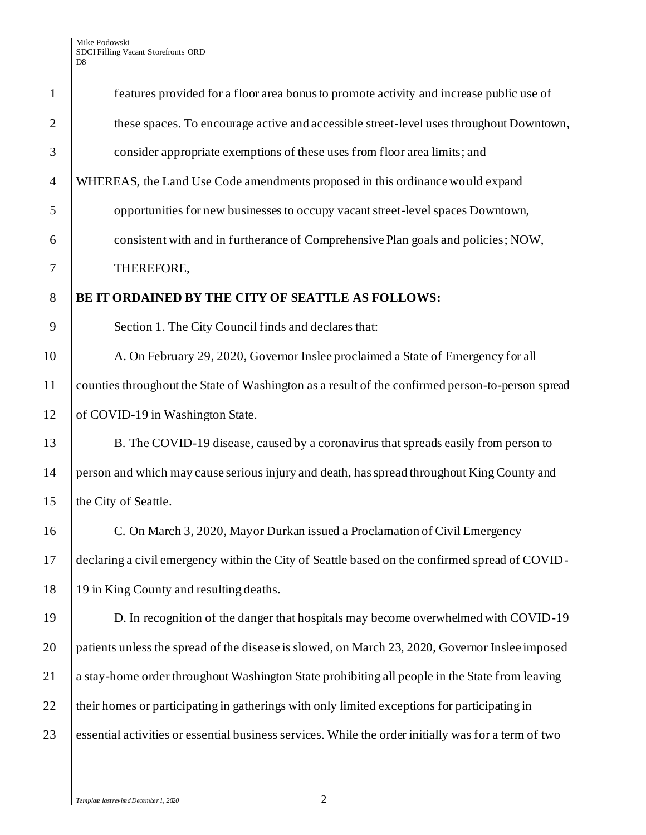| $\mathbf{1}$   | features provided for a floor area bonus to promote activity and increase public use of              |
|----------------|------------------------------------------------------------------------------------------------------|
| $\overline{2}$ | these spaces. To encourage active and accessible street-level uses throughout Downtown,              |
| 3              | consider appropriate exemptions of these uses from floor area limits; and                            |
| $\overline{4}$ | WHEREAS, the Land Use Code amendments proposed in this ordinance would expand                        |
| 5              | opportunities for new businesses to occupy vacant street-level spaces Downtown,                      |
| 6              | consistent with and in furtherance of Comprehensive Plan goals and policies; NOW,                    |
| 7              | THEREFORE,                                                                                           |
| 8              | BE IT ORDAINED BY THE CITY OF SEATTLE AS FOLLOWS:                                                    |
| 9              | Section 1. The City Council finds and declares that:                                                 |
| 10             | A. On February 29, 2020, Governor Inslee proclaimed a State of Emergency for all                     |
| 11             | counties throughout the State of Washington as a result of the confirmed person-to-person spread     |
| 12             | of COVID-19 in Washington State.                                                                     |
| 13             | B. The COVID-19 disease, caused by a coronavirus that spreads easily from person to                  |
| 14             | person and which may cause serious injury and death, has spread throughout King County and           |
| 15             | the City of Seattle.                                                                                 |
| 16             | C. On March 3, 2020, Mayor Durkan issued a Proclamation of Civil Emergency                           |
| 17             | declaring a civil emergency within the City of Seattle based on the confirmed spread of COVID-       |
| 18             | 19 in King County and resulting deaths.                                                              |
| 19             | D. In recognition of the danger that hospitals may become overwhelmed with COVID-19                  |
| 20             | patients unless the spread of the disease is slowed, on March 23, 2020, Governor Inslee imposed      |
| 21             | a stay-home order throughout Washington State prohibiting all people in the State from leaving       |
| 22             | their homes or participating in gatherings with only limited exceptions for participating in         |
| 23             | essential activities or essential business services. While the order initially was for a term of two |
|                |                                                                                                      |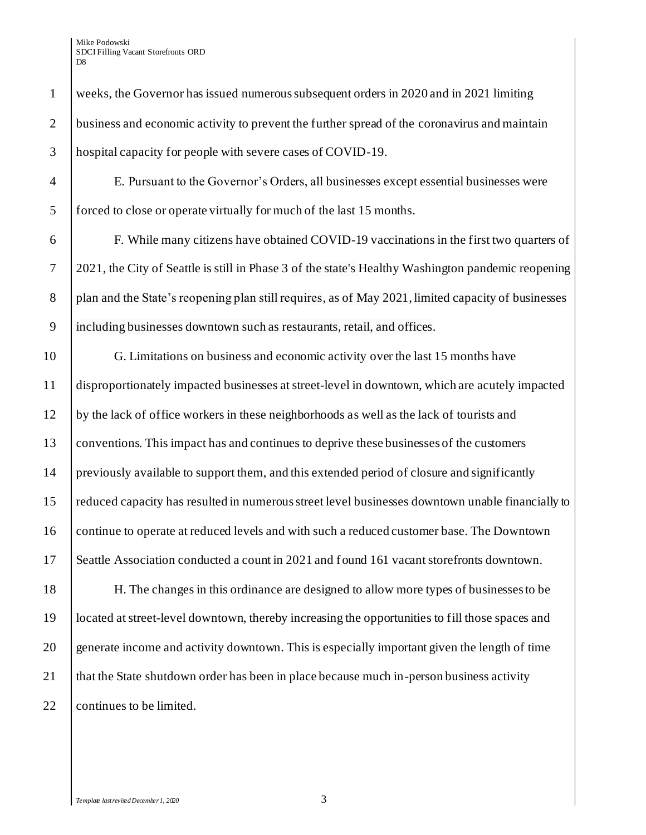| $\mathbf{1}$   | weeks, the Governor has issued numerous subsequent orders in 2020 and in 2021 limiting             |
|----------------|----------------------------------------------------------------------------------------------------|
| $\overline{2}$ | business and economic activity to prevent the further spread of the coronavirus and maintain       |
| 3              | hospital capacity for people with severe cases of COVID-19.                                        |
| $\overline{4}$ | E. Pursuant to the Governor's Orders, all businesses except essential businesses were              |
| 5              | forced to close or operate virtually for much of the last 15 months.                               |
| 6              | F. While many citizens have obtained COVID-19 vaccinations in the first two quarters of            |
| $\tau$         | 2021, the City of Seattle is still in Phase 3 of the state's Healthy Washington pandemic reopening |
| 8              | plan and the State's reopening plan still requires, as of May 2021, limited capacity of businesses |
| 9              | including businesses downtown such as restaurants, retail, and offices.                            |
| 10             | G. Limitations on business and economic activity over the last 15 months have                      |
| 11             | disproportionately impacted businesses at street-level in downtown, which are acutely impacted     |
| 12             | by the lack of office workers in these neighborhoods as well as the lack of tourists and           |
| 13             | conventions. This impact has and continues to deprive these businesses of the customers            |
| 14             | previously available to support them, and this extended period of closure and significantly        |
| 15             | reduced capacity has resulted in numerous street level businesses downtown unable financially to   |
| 16             | continue to operate at reduced levels and with such a reduced customer base. The Downtown          |
| 17             | Seattle Association conducted a count in 2021 and found 161 vacant storefronts downtown.           |
| 18             | H. The changes in this ordinance are designed to allow more types of businesses to be              |
| 19             | located at street-level downtown, thereby increasing the opportunities to fill those spaces and    |
| 20             | generate income and activity downtown. This is especially important given the length of time       |
| 21             | that the State shutdown order has been in place because much in-person business activity           |

22 continues to be limited.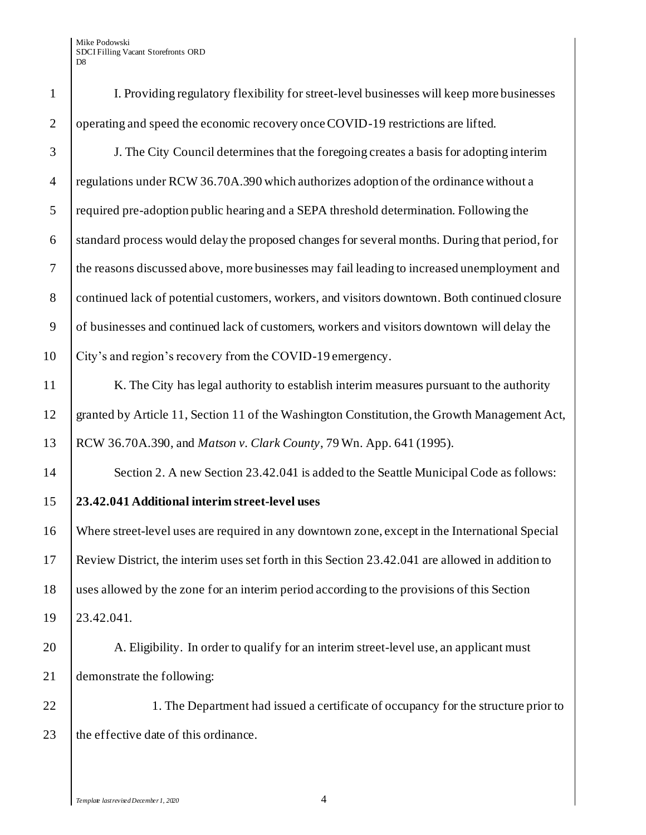| $\mathbf{1}$   | I. Providing regulatory flexibility for street-level businesses will keep more businesses        |
|----------------|--------------------------------------------------------------------------------------------------|
| $\overline{2}$ | operating and speed the economic recovery once COVID-19 restrictions are lifted.                 |
| 3              | J. The City Council determines that the foregoing creates a basis for adopting interim           |
| $\overline{4}$ | regulations under RCW 36.70A.390 which authorizes adoption of the ordinance without a            |
| 5              | required pre-adoption public hearing and a SEPA threshold determination. Following the           |
| 6              | standard process would delay the proposed changes for several months. During that period, for    |
| $\overline{7}$ | the reasons discussed above, more businesses may fail leading to increased unemployment and      |
| $8\,$          | continued lack of potential customers, workers, and visitors downtown. Both continued closure    |
| 9              | of businesses and continued lack of customers, workers and visitors downtown will delay the      |
| 10             | City's and region's recovery from the COVID-19 emergency.                                        |
| 11             | K. The City has legal authority to establish interim measures pursuant to the authority          |
| 12             | granted by Article 11, Section 11 of the Washington Constitution, the Growth Management Act,     |
| 13             | RCW 36.70A.390, and <i>Matson v. Clark County</i> , 79 Wn. App. 641 (1995).                      |
| 14             | Section 2. A new Section 23.42.041 is added to the Seattle Municipal Code as follows:            |
| 15             | 23.42.041 Additional interim street-level uses                                                   |
| 16             | Where street-level uses are required in any downtown zone, except in the International Special   |
| 17             | Review District, the interim uses set forth in this Section 23.42.041 are allowed in addition to |
| 18             | uses allowed by the zone for an interim period according to the provisions of this Section       |
| 19             | 23.42.041.                                                                                       |
| 20             | A. Eligibility. In order to qualify for an interim street-level use, an applicant must           |
| 21             | demonstrate the following:                                                                       |
| 22             | 1. The Department had issued a certificate of occupancy for the structure prior to               |
| 23             | the effective date of this ordinance.                                                            |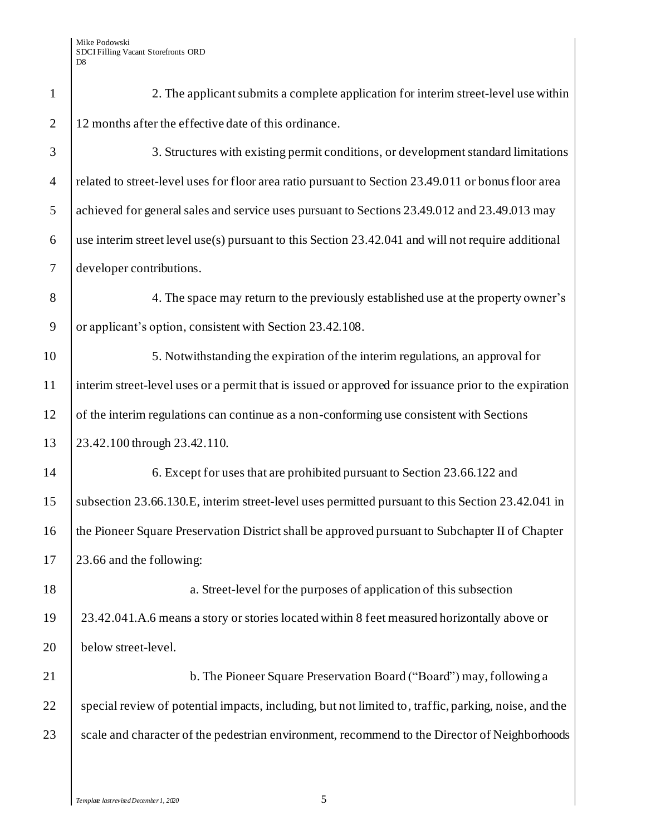| $\mathbf{1}$     | 2. The applicant submits a complete application for interim street-level use within                   |
|------------------|-------------------------------------------------------------------------------------------------------|
| $\mathbf{2}$     | 12 months after the effective date of this ordinance.                                                 |
| 3                | 3. Structures with existing permit conditions, or development standard limitations                    |
| $\overline{4}$   | related to street-level uses for floor area ratio pursuant to Section 23.49.011 or bonus floor area   |
| $\mathfrak{S}$   | achieved for general sales and service uses pursuant to Sections 23.49.012 and 23.49.013 may          |
| 6                | use interim street level use(s) pursuant to this Section 23.42.041 and will not require additional    |
| $\boldsymbol{7}$ | developer contributions.                                                                              |
| 8                | 4. The space may return to the previously established use at the property owner's                     |
| 9                | or applicant's option, consistent with Section 23.42.108.                                             |
| 10               | 5. Notwithstanding the expiration of the interim regulations, an approval for                         |
| 11               | interim street-level uses or a permit that is issued or approved for issuance prior to the expiration |
| 12               | of the interim regulations can continue as a non-conforming use consistent with Sections              |
| 13               | 23.42.100 through 23.42.110.                                                                          |
| 14               | 6. Except for uses that are prohibited pursuant to Section 23.66.122 and                              |
| 15               | subsection 23.66.130.E, interim street-level uses permitted pursuant to this Section 23.42.041 in     |
| 16               | the Pioneer Square Preservation District shall be approved pursuant to Subchapter II of Chapter       |
| 17               | 23.66 and the following:                                                                              |
| 18               | a. Street-level for the purposes of application of this subsection                                    |
| 19               | 23.42.041.A.6 means a story or stories located within 8 feet measured horizontally above or           |
| 20               | below street-level.                                                                                   |
| 21               | b. The Pioneer Square Preservation Board ("Board") may, following a                                   |
| 22               | special review of potential impacts, including, but not limited to, traffic, parking, noise, and the  |
| 23               | scale and character of the pedestrian environment, recommend to the Director of Neighborhoods         |
|                  |                                                                                                       |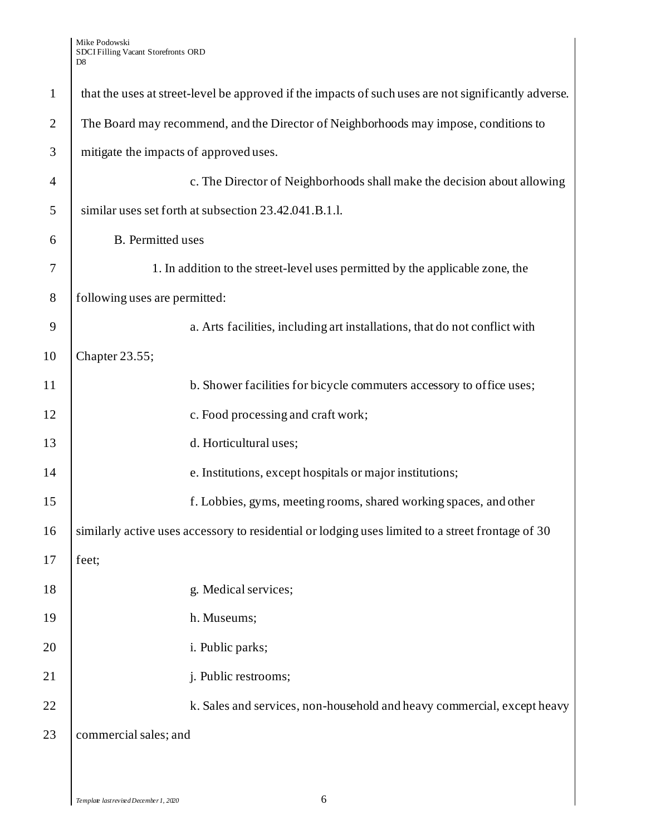### Mike Podowski SDCI Filling Vacant Storefronts ORD D8

| $\mathbf{1}$   | that the uses at street-level be approved if the impacts of such uses are not significantly adverse. |
|----------------|------------------------------------------------------------------------------------------------------|
| $\overline{2}$ | The Board may recommend, and the Director of Neighborhoods may impose, conditions to                 |
| 3              | mitigate the impacts of approved uses.                                                               |
| $\overline{4}$ | c. The Director of Neighborhoods shall make the decision about allowing                              |
| $\mathfrak{S}$ | similar uses set forth at subsection 23.42.041.B.1.l.                                                |
| 6              | <b>B.</b> Permitted uses                                                                             |
| 7              | 1. In addition to the street-level uses permitted by the applicable zone, the                        |
| 8              | following uses are permitted:                                                                        |
| 9              | a. Arts facilities, including art installations, that do not conflict with                           |
| 10             | Chapter 23.55;                                                                                       |
| 11             | b. Shower facilities for bicycle commuters accessory to office uses;                                 |
| 12             | c. Food processing and craft work;                                                                   |
| 13             | d. Horticultural uses;                                                                               |
| 14             | e. Institutions, except hospitals or major institutions;                                             |
| 15             | f. Lobbies, gyms, meeting rooms, shared working spaces, and other                                    |
| 16             | similarly active uses accessory to residential or lodging uses limited to a street frontage of 30    |
| 17             | feet;                                                                                                |
| 18             | g. Medical services;                                                                                 |
| 19             | h. Museums;                                                                                          |
| 20             | i. Public parks;                                                                                     |
| 21             | j. Public restrooms;                                                                                 |
| 22             | k. Sales and services, non-household and heavy commercial, except heavy                              |
| 23             | commercial sales; and                                                                                |
|                |                                                                                                      |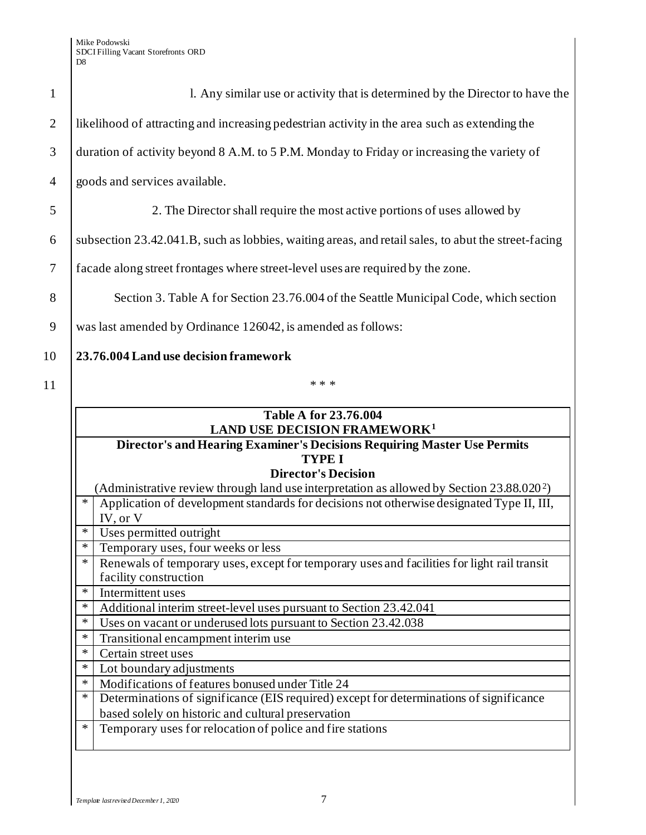|        | 1. Any similar use or activity that is determined by the Director to have the                                                                                     |
|--------|-------------------------------------------------------------------------------------------------------------------------------------------------------------------|
|        | likelihood of attracting and increasing pedestrian activity in the area such as extending the                                                                     |
|        | duration of activity beyond 8 A.M. to 5 P.M. Monday to Friday or increasing the variety of                                                                        |
|        | goods and services available.                                                                                                                                     |
|        | 2. The Director shall require the most active portions of uses allowed by                                                                                         |
|        | subsection 23.42.041.B, such as lobbies, waiting areas, and retail sales, to abut the street-facing                                                               |
|        | facade along street frontages where street-level uses are required by the zone.                                                                                   |
|        | Section 3. Table A for Section 23.76.004 of the Seattle Municipal Code, which section                                                                             |
|        | was last amended by Ordinance 126042, is amended as follows:                                                                                                      |
|        | 23.76.004 Land use decision framework                                                                                                                             |
|        | * * *                                                                                                                                                             |
|        | <b>Table A for 23.76.004</b><br><b>LAND USE DECISION FRAMEWORK<sup>1</sup></b><br><b>Director's and Hearing Examiner's Decisions Requiring Master Use Permits</b> |
|        | <b>TYPE I</b><br><b>Director's Decision</b>                                                                                                                       |
|        | (Administrative review through land use interpretation as allowed by Section 23.88.020 <sup>2</sup> )                                                             |
| ∗      | Application of development standards for decisions not otherwise designated Type II, III,<br>IV, or V                                                             |
| $\ast$ | Uses permitted outright                                                                                                                                           |
| $\ast$ | Temporary uses, four weeks or less                                                                                                                                |
| ∗      | Renewals of temporary uses, except for temporary uses and facilities for light rail transit<br>facility construction                                              |
| ∗      | Intermittent uses                                                                                                                                                 |
| *      | Additional interim street-level uses pursuant to Section 23.42.041                                                                                                |
| *      | Uses on vacant or underused lots pursuant to Section 23.42.038                                                                                                    |
| ∗      | Transitional encampment interim use                                                                                                                               |
| ∗      | Certain street uses                                                                                                                                               |
| ∗      | Lot boundary adjustments                                                                                                                                          |
|        | Modifications of features bonused under Title 24                                                                                                                  |
| ∗      |                                                                                                                                                                   |
| $\ast$ | Determinations of significance (EIS required) except for determinations of significance                                                                           |
| ∗      | based solely on historic and cultural preservation<br>Temporary uses for relocation of police and fire stations                                                   |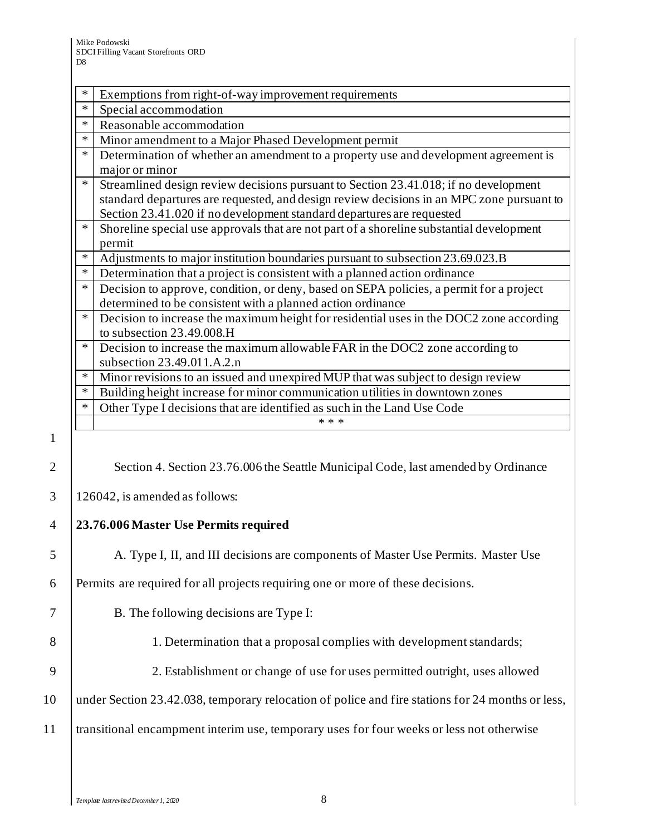|        | Exemptions from right-of-way improvement requirements                                     |
|--------|-------------------------------------------------------------------------------------------|
| *      | Special accommodation                                                                     |
| $\ast$ | Reasonable accommodation                                                                  |
| *      | Minor amendment to a Major Phased Development permit                                      |
| *      | Determination of whether an amendment to a property use and development agreement is      |
|        | major or minor                                                                            |
| $\ast$ | Streamlined design review decisions pursuant to Section 23.41.018; if no development      |
|        | standard departures are requested, and design review decisions in an MPC zone pursuant to |
|        | Section 23.41.020 if no development standard departures are requested                     |
| *      | Shoreline special use approvals that are not part of a shoreline substantial development  |
|        | permit                                                                                    |
| $\ast$ | Adjustments to major institution boundaries pursuant to subsection 23.69.023.B            |
| *      | Determination that a project is consistent with a planned action ordinance                |
| $\ast$ | Decision to approve, condition, or deny, based on SEPA policies, a permit for a project   |
|        | determined to be consistent with a planned action ordinance                               |
| $\ast$ | Decision to increase the maximum height for residential uses in the DOC2 zone according   |
|        | to subsection 23.49.008.H                                                                 |
| $\ast$ | Decision to increase the maximum allowable FAR in the DOC2 zone according to              |
|        | subsection 23.49.011.A.2.n                                                                |
| $\ast$ | Minor revisions to an issued and unexpired MUP that was subject to design review          |
| $\ast$ | Building height increase for minor communication utilities in downtown zones              |
| *      | Other Type I decisions that are identified as such in the Land Use Code                   |
|        | * * *                                                                                     |
|        |                                                                                           |

1

2 Section 4. Section 23.76.006 the Seattle Municipal Code, last amended by Ordinance

 $3 \mid 126042$ , is amended as follows:

## 4 **23.76.006 Master Use Permits required**

5 A. Type I, II, and III decisions are components of Master Use Permits. Master Use

6 Permits are required for all projects requiring one or more of these decisions.

# 7 B. The following decisions are Type I:

- 8 1. Determination that a proposal complies with development standards;
- 9 2. Establishment or change of use for uses permitted outright, uses allowed

10 under Section 23.42.038, temporary relocation of police and fire stations for 24 months or less,

11 transitional encampment interim use, temporary uses for four weeks or less not otherwise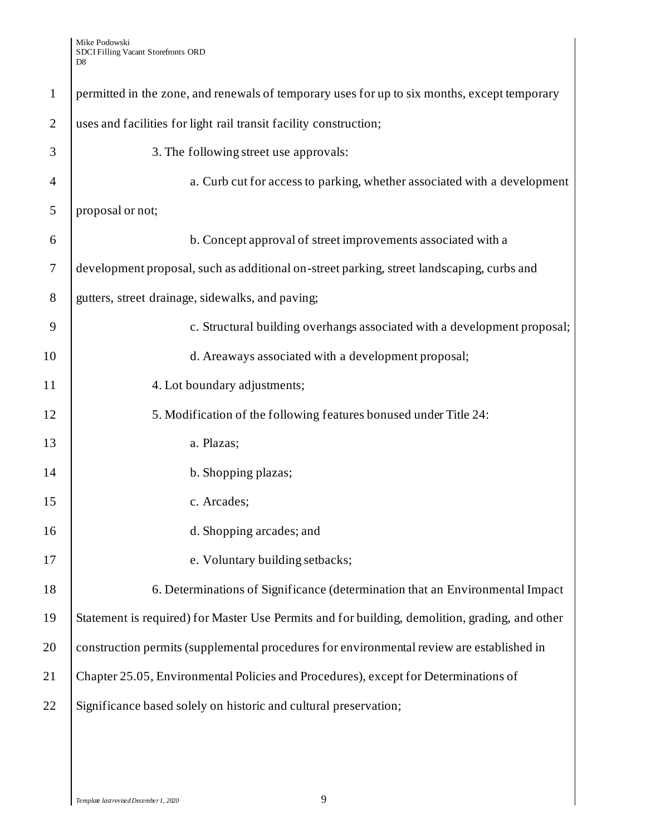| $\mathbf{1}$   | permitted in the zone, and renewals of temporary uses for up to six months, except temporary   |
|----------------|------------------------------------------------------------------------------------------------|
| $\overline{2}$ | uses and facilities for light rail transit facility construction;                              |
| 3              | 3. The following street use approvals:                                                         |
| $\overline{4}$ | a. Curb cut for access to parking, whether associated with a development                       |
| 5              | proposal or not;                                                                               |
| 6              | b. Concept approval of street improvements associated with a                                   |
| $\overline{7}$ | development proposal, such as additional on-street parking, street landscaping, curbs and      |
| 8              | gutters, street drainage, sidewalks, and paving;                                               |
| 9              | c. Structural building overhangs associated with a development proposal;                       |
| 10             | d. Areaways associated with a development proposal;                                            |
| 11             | 4. Lot boundary adjustments;                                                                   |
| 12             | 5. Modification of the following features bonused under Title 24:                              |
| 13             | a. Plazas;                                                                                     |
| 14             | b. Shopping plazas;                                                                            |
| 15             | c. Arcades;                                                                                    |
| 16             | d. Shopping arcades; and                                                                       |
| 17             | e. Voluntary building setbacks;                                                                |
| 18             | 6. Determinations of Significance (determination that an Environmental Impact                  |
| 19             | Statement is required) for Master Use Permits and for building, demolition, grading, and other |
| 20             | construction permits (supplemental procedures for environmental review are established in      |
| 21             | Chapter 25.05, Environmental Policies and Procedures), except for Determinations of            |
| 22             | Significance based solely on historic and cultural preservation;                               |
|                |                                                                                                |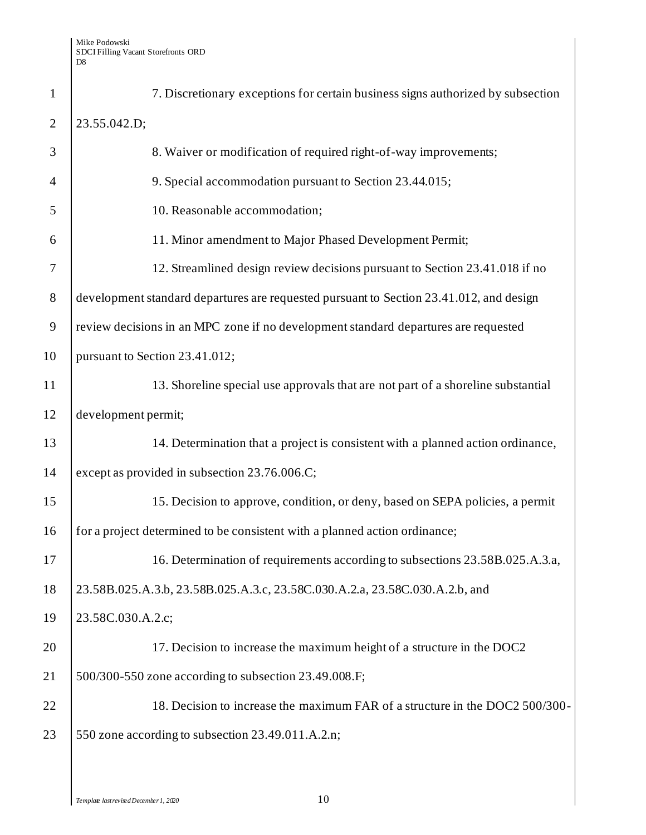| $\mathbf{1}$   | 7. Discretionary exceptions for certain business signs authorized by subsection         |
|----------------|-----------------------------------------------------------------------------------------|
| $\overline{2}$ | 23.55.042.D;                                                                            |
| 3              | 8. Waiver or modification of required right-of-way improvements;                        |
| $\overline{4}$ | 9. Special accommodation pursuant to Section 23.44.015;                                 |
| 5              | 10. Reasonable accommodation;                                                           |
| 6              | 11. Minor amendment to Major Phased Development Permit;                                 |
| 7              | 12. Streamlined design review decisions pursuant to Section 23.41.018 if no             |
| 8              | development standard departures are requested pursuant to Section 23.41.012, and design |
| 9              | review decisions in an MPC zone if no development standard departures are requested     |
| 10             | pursuant to Section 23.41.012;                                                          |
| 11             | 13. Shoreline special use approvals that are not part of a shoreline substantial        |
| 12             | development permit;                                                                     |
| 13             | 14. Determination that a project is consistent with a planned action ordinance,         |
| 14             | except as provided in subsection 23.76.006.C;                                           |
| 15             | 15. Decision to approve, condition, or deny, based on SEPA policies, a permit           |
| 16             | for a project determined to be consistent with a planned action ordinance;              |
| 17             | 16. Determination of requirements according to subsections 23.58B.025.A.3.a,            |
| 18             | 23.58B.025.A.3.b, 23.58B.025.A.3.c, 23.58C.030.A.2.a, 23.58C.030.A.2.b, and             |
| 19             | 23.58C.030.A.2.c;                                                                       |
| 20             | 17. Decision to increase the maximum height of a structure in the DOC2                  |
| 21             | 500/300-550 zone according to subsection 23.49.008.F;                                   |
| 22             | 18. Decision to increase the maximum FAR of a structure in the DOC2 500/300-            |
| 23             | 550 zone according to subsection 23.49.011.A.2.n;                                       |
|                |                                                                                         |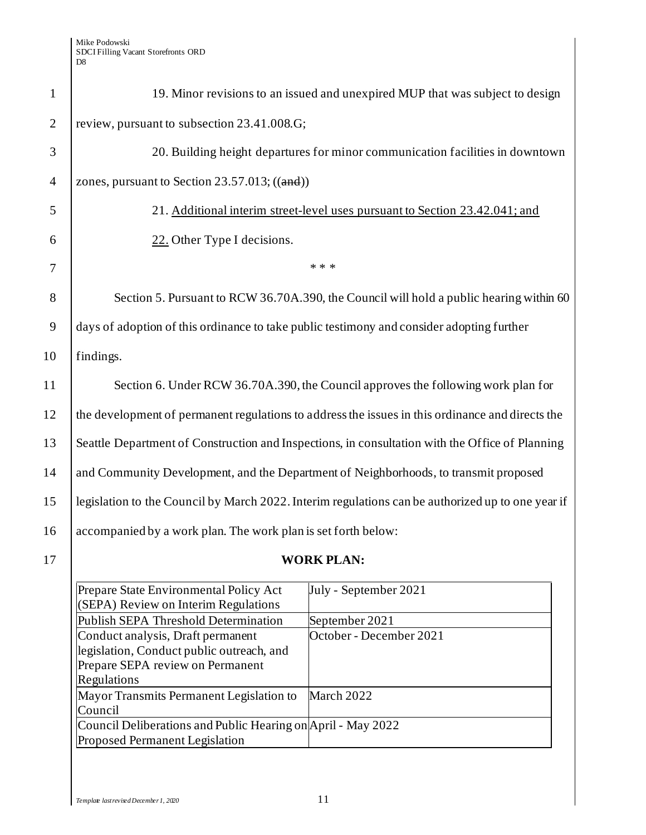#### Mike Podowski SDCI Filling Vacant Storefronts ORD D8

| $\mathbf{1}$   | 19. Minor revisions to an issued and unexpired MUP that was subject to design                     |
|----------------|---------------------------------------------------------------------------------------------------|
| $\overline{2}$ | review, pursuant to subsection 23.41.008.G;                                                       |
| 3              | 20. Building height departures for minor communication facilities in downtown                     |
| $\overline{4}$ | zones, pursuant to Section $23.57.013$ ; ((and))                                                  |
| 5              | 21. Additional interim street-level uses pursuant to Section 23.42.041; and                       |
| 6              | 22. Other Type I decisions.                                                                       |
| 7              | * * *                                                                                             |
| 8              | Section 5. Pursuant to RCW 36.70A.390, the Council will hold a public hearing within 60           |
| 9              | days of adoption of this ordinance to take public testimony and consider adopting further         |
| 10             | findings.                                                                                         |
| 11             | Section 6. Under RCW 36.70A.390, the Council approves the following work plan for                 |
| 12             | the development of permanent regulations to address the issues in this ordinance and directs the  |
| 13             | Seattle Department of Construction and Inspections, in consultation with the Office of Planning   |
| 14             | and Community Development, and the Department of Neighborhoods, to transmit proposed              |
| 15             | legislation to the Council by March 2022. Interim regulations can be authorized up to one year if |
| 16             | accompanied by a work plan. The work plan is set forth below:                                     |
| 17             | <b>WORK PLAN:</b>                                                                                 |

### Prepare State Environmental Policy Act (SEPA) Review on Interim Regulations July - September 2021 Publish SEPA Threshold Determination September 2021 Conduct analysis, Draft permanent legislation, Conduct public outreach, and Prepare SEPA review on Permanent Regulations October - December 2021 Mayor Transmits Permanent Legislation to Council March 2022 Council Deliberations and Public Hearing on April - May 2022Proposed Permanent Legislation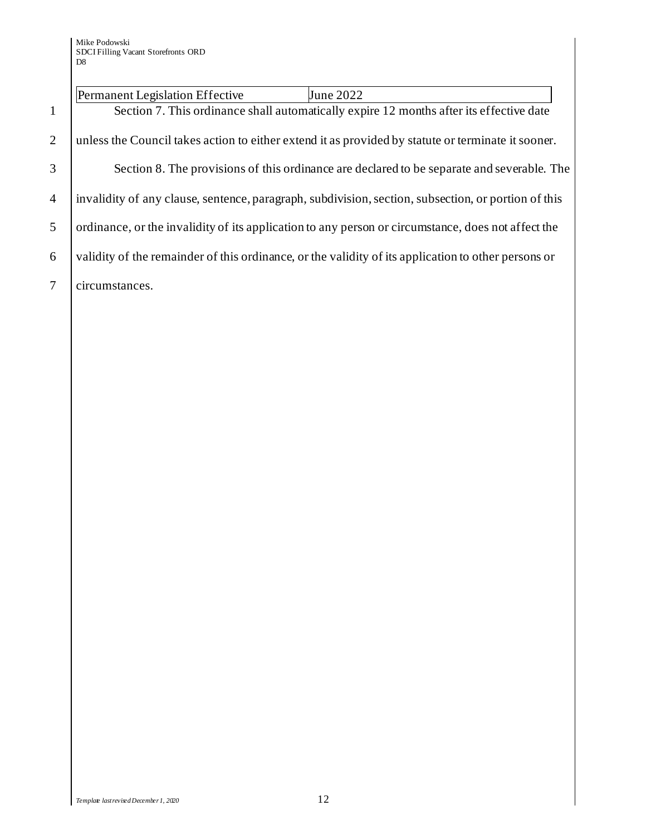## Permanent Legislation Effective June 2022

1 Section 7. This ordinance shall automatically expire 12 months after its effective date 2 unless the Council takes action to either extend it as provided by statute or terminate it sooner. 3 Section 8. The provisions of this ordinance are declared to be separate and severable. The 4 invalidity of any clause, sentence, paragraph, subdivision, section, subsection, or portion of this

5 ordinance, or the invalidity of its application to any person or circumstance, does not affect the

6 validity of the remainder of this ordinance, or the validity of its application to other persons or

7 circumstances.